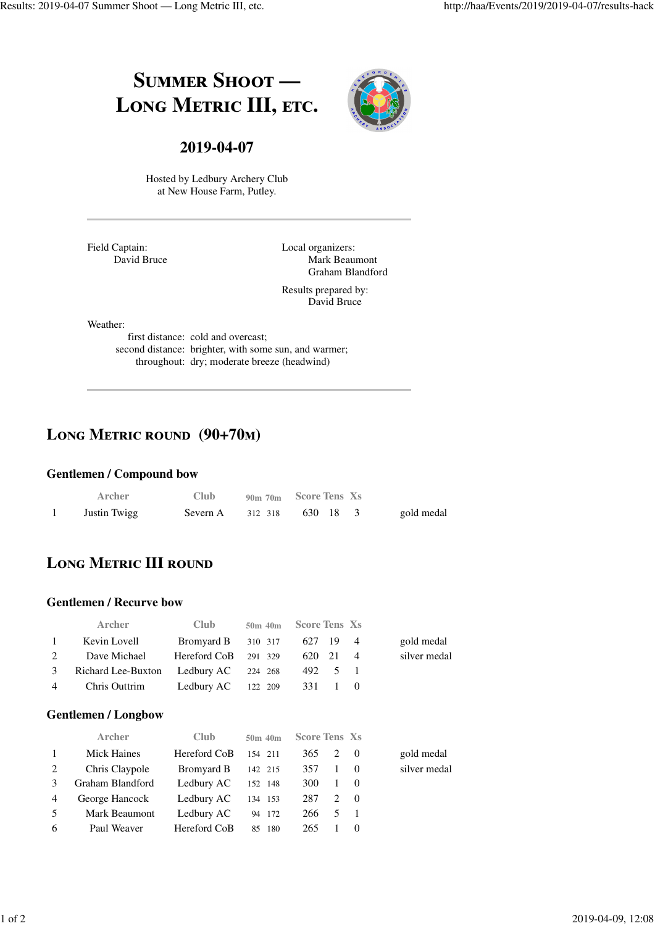# SUMMER SHOOT -LONG METRIC III, ETC.



### **2019-04-07**

Hosted by Ledbury Archery Club at New House Farm, Putley.

Field Captain: David Bruce Local organizers: Mark Beaumont Graham Blandford

Results prepared by: David Bruce

Weather:

first distance: cold and overcast; second distance: brighter, with some sun, and warmer; throughout: dry; moderate breeze (headwind)

### **Long Metric round (90+70m)**

#### **Gentlemen / Compound bow**

| Archer       | <b>Club</b>         | 90m 70m Score Tens Xs |            |
|--------------|---------------------|-----------------------|------------|
| Justin Twigg | Severn A $312\,318$ | 630 18                | gold medal |

# **LONG METRIC III ROUND**

#### **Gentlemen / Recurve bow**

|              | <b>Archer</b>                           | <b>Club</b>                 | 50m 40m Score Tens Xs |          |  |              |
|--------------|-----------------------------------------|-----------------------------|-----------------------|----------|--|--------------|
| $\mathbf{1}$ | Kevin Lovell                            | Bromyard B 310 317 627 19 4 |                       |          |  | gold medal   |
| 2            | Dave Michael                            | Hereford CoB 291 329        |                       | 620 21 4 |  | silver medal |
|              | 3 Richard Lee-Buxton Ledbury AC 224 268 |                             |                       | 492 5 1  |  |              |
|              | 4 Chris Outtrim                         | Ledbury AC $122$ 209        |                       | 331 1 0  |  |              |

#### **Gentlemen / Longbow**

|                | <b>Archer</b>    | Club         | 50m 40m | <b>Score Tens Xs</b> |              |                    |              |
|----------------|------------------|--------------|---------|----------------------|--------------|--------------------|--------------|
| $\mathbf{1}$   | Mick Haines      | Hereford CoB | 154 211 | 365                  | 2 0          |                    | gold medal   |
| 2              | Chris Claypole   | Bromyard B   | 142 215 | 357                  | $\mathbf{1}$ | $\hspace{1.6cm} 0$ | silver medal |
| 3              | Graham Blandford | Ledbury AC   | 152 148 | 300                  | $\mathbf{1}$ | $\hspace{1.6cm} 0$ |              |
| $\overline{4}$ | George Hancock   | Ledbury AC   | 134 153 | 287                  |              | 2 0                |              |
| 5              | Mark Beaumont    | Ledbury AC   | 94 172  | 266                  | 5            |                    |              |
| 6              | Paul Weaver      | Hereford CoB | 85 180  | 265                  |              | 0                  |              |